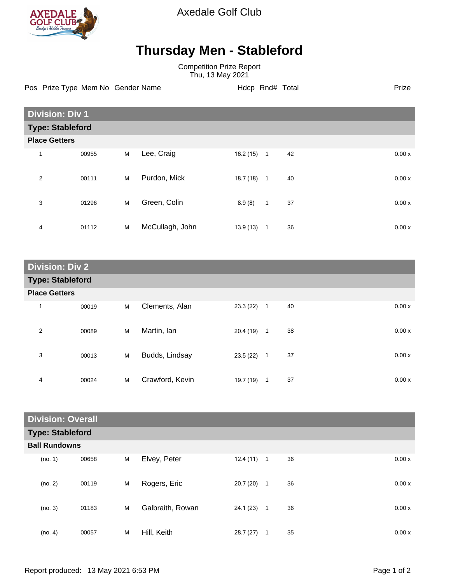

Axedale Golf Club

## **Thursday Men - Stableford**

Competition Prize Report Thu, 13 May 2021

Pos Prize Type Mem No Gender Name **Hdcp Rnd# Total** Prize Prize

| <b>Division: Div 1</b>  |       |   |                 |          |              |    |  |       |
|-------------------------|-------|---|-----------------|----------|--------------|----|--|-------|
| <b>Type: Stableford</b> |       |   |                 |          |              |    |  |       |
| <b>Place Getters</b>    |       |   |                 |          |              |    |  |       |
| 1                       | 00955 | M | Lee, Craig      | 16.2(15) | $\mathbf{1}$ | 42 |  | 0.00x |
| $\overline{2}$          | 00111 | M | Purdon, Mick    | 18.7(18) | $\mathbf{1}$ | 40 |  | 0.00x |
| 3                       | 01296 | M | Green, Colin    | 8.9(8)   | $\mathbf{1}$ | 37 |  | 0.00x |
| 4                       | 01112 | M | McCullagh, John | 13.9(13) | $\mathbf{1}$ | 36 |  | 0.00x |

| <b>Division: Div 2</b>  |       |   |                 |              |              |    |       |
|-------------------------|-------|---|-----------------|--------------|--------------|----|-------|
| <b>Type: Stableford</b> |       |   |                 |              |              |    |       |
| <b>Place Getters</b>    |       |   |                 |              |              |    |       |
| 1                       | 00019 | M | Clements, Alan  | $23.3(22)$ 1 |              | 40 | 0.00x |
| $\overline{2}$          | 00089 | M | Martin, Ian     | $20.4(19)$ 1 |              | 38 | 0.00x |
| 3                       | 00013 | M | Budds, Lindsay  | 23.5(22)     | $\mathbf{1}$ | 37 | 0.00x |
| 4                       | 00024 | M | Crawford, Kevin | 19.7 (19)    | $\mathbf 1$  | 37 | 0.00x |

| <b>Division: Overall</b> |                         |   |                  |          |                |    |  |       |
|--------------------------|-------------------------|---|------------------|----------|----------------|----|--|-------|
|                          | <b>Type: Stableford</b> |   |                  |          |                |    |  |       |
| <b>Ball Rundowns</b>     |                         |   |                  |          |                |    |  |       |
| (no. 1)                  | 00658                   | M | Elvey, Peter     | 12.4(11) | $\mathbf{1}$   | 36 |  | 0.00x |
| (no. 2)                  | 00119                   | M | Rogers, Eric     | 20.7(20) | $\mathbf{1}$   | 36 |  | 0.00x |
| (no. 3)                  | 01183                   | M | Galbraith, Rowan | 24.1(23) | $\overline{1}$ | 36 |  | 0.00x |
| (no. 4)                  | 00057                   | M | Hill, Keith      | 28.7(27) | 1              | 35 |  | 0.00x |